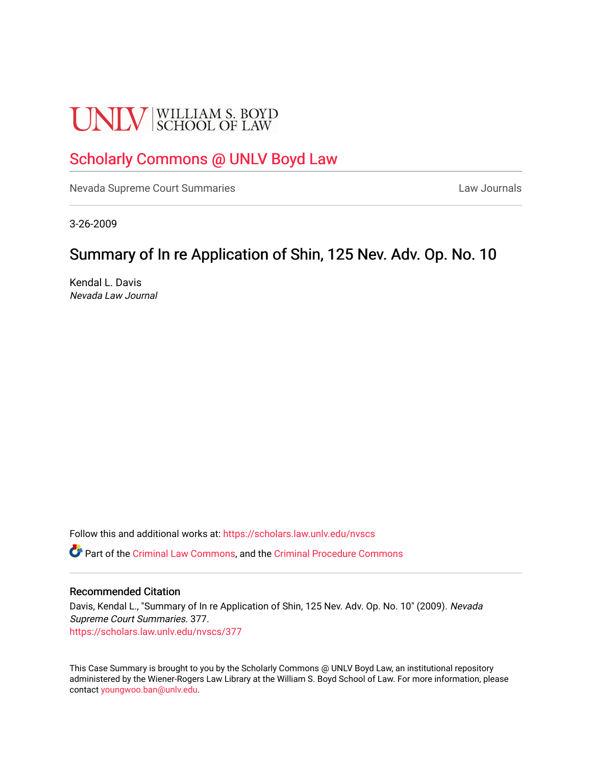# **UNLV** SCHOOL OF LAW

# [Scholarly Commons @ UNLV Boyd Law](https://scholars.law.unlv.edu/)

[Nevada Supreme Court Summaries](https://scholars.law.unlv.edu/nvscs) **Law Journals** Law Journals

3-26-2009

## Summary of In re Application of Shin, 125 Nev. Adv. Op. No. 10

Kendal L. Davis Nevada Law Journal

Follow this and additional works at: [https://scholars.law.unlv.edu/nvscs](https://scholars.law.unlv.edu/nvscs?utm_source=scholars.law.unlv.edu%2Fnvscs%2F377&utm_medium=PDF&utm_campaign=PDFCoverPages)

Part of the [Criminal Law Commons,](http://network.bepress.com/hgg/discipline/912?utm_source=scholars.law.unlv.edu%2Fnvscs%2F377&utm_medium=PDF&utm_campaign=PDFCoverPages) and the [Criminal Procedure Commons](http://network.bepress.com/hgg/discipline/1073?utm_source=scholars.law.unlv.edu%2Fnvscs%2F377&utm_medium=PDF&utm_campaign=PDFCoverPages)

#### Recommended Citation

Davis, Kendal L., "Summary of In re Application of Shin, 125 Nev. Adv. Op. No. 10" (2009). Nevada Supreme Court Summaries. 377. [https://scholars.law.unlv.edu/nvscs/377](https://scholars.law.unlv.edu/nvscs/377?utm_source=scholars.law.unlv.edu%2Fnvscs%2F377&utm_medium=PDF&utm_campaign=PDFCoverPages)

This Case Summary is brought to you by the Scholarly Commons @ UNLV Boyd Law, an institutional repository administered by the Wiener-Rogers Law Library at the William S. Boyd School of Law. For more information, please contact [youngwoo.ban@unlv.edu](mailto:youngwoo.ban@unlv.edu).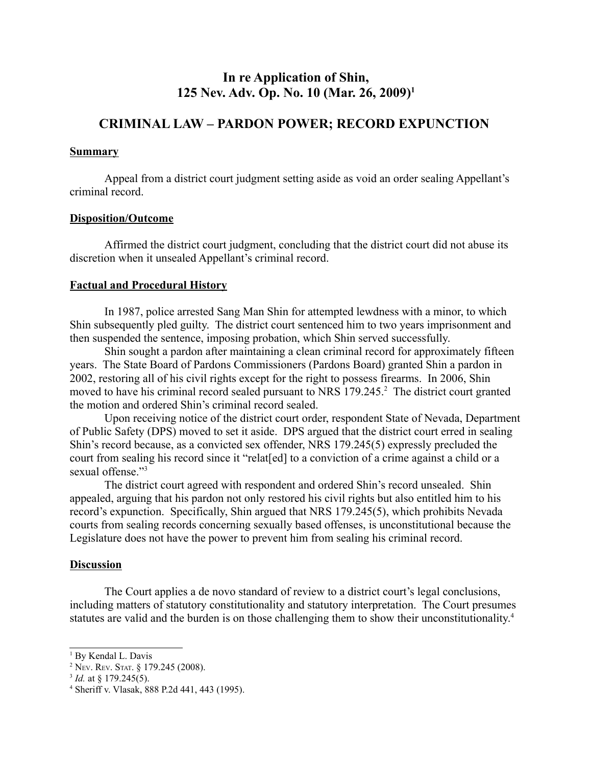### **In re Application of Shin, 125 Nev. Adv. Op. No. 10 (Mar. 26, 2009)1**

## **CRIMINAL LAW – PARDON POWER; RECORD EXPUNCTION**

#### **Summary**

Appeal from a district court judgment setting aside as void an order sealing Appellant's criminal record.

#### **Disposition/Outcome**

Affirmed the district court judgment, concluding that the district court did not abuse its discretion when it unsealed Appellant's criminal record.

#### **Factual and Procedural History**

In 1987, police arrested Sang Man Shin for attempted lewdness with a minor, to which Shin subsequently pled guilty. The district court sentenced him to two years imprisonment and then suspended the sentence, imposing probation, which Shin served successfully.

Shin sought a pardon after maintaining a clean criminal record for approximately fifteen years. The State Board of Pardons Commissioners (Pardons Board) granted Shin a pardon in 2002, restoring all of his civil rights except for the right to possess firearms. In 2006, Shin moved to have his criminal record sealed pursuant to NRS 179.245.<sup>2</sup> The district court granted the motion and ordered Shin's criminal record sealed.

Upon receiving notice of the district court order, respondent State of Nevada, Department of Public Safety (DPS) moved to set it aside. DPS argued that the district court erred in sealing Shin's record because, as a convicted sex offender, NRS 179.245(5) expressly precluded the court from sealing his record since it "relat[ed] to a conviction of a crime against a child or a sexual offense."<sup>3</sup>

The district court agreed with respondent and ordered Shin's record unsealed. Shin appealed, arguing that his pardon not only restored his civil rights but also entitled him to his record's expunction. Specifically, Shin argued that NRS 179.245(5), which prohibits Nevada courts from sealing records concerning sexually based offenses, is unconstitutional because the Legislature does not have the power to prevent him from sealing his criminal record.

#### **Discussion**

The Court applies a de novo standard of review to a district court's legal conclusions, including matters of statutory constitutionality and statutory interpretation. The Court presumes statutes are valid and the burden is on those challenging them to show their unconstitutionality.<sup>4</sup>

<sup>&</sup>lt;sup>1</sup> By Kendal L. Davis

<sup>2</sup> NEV. REV. STAT. § 179.245 (2008). 3 *Id.* at § 179.245(5).

<sup>4</sup> Sheriff v. Vlasak, 888 P.2d 441, 443 (1995).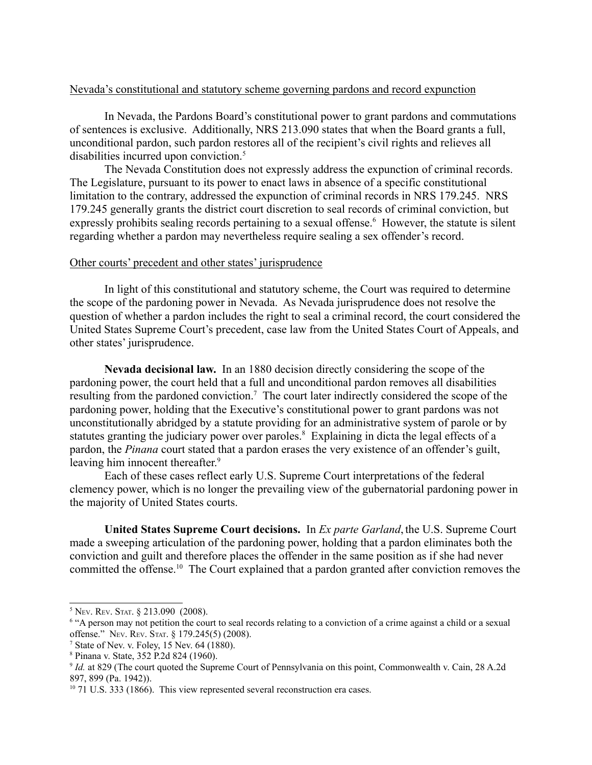#### Nevada's constitutional and statutory scheme governing pardons and record expunction

In Nevada, the Pardons Board's constitutional power to grant pardons and commutations of sentences is exclusive. Additionally, NRS 213.090 states that when the Board grants a full, unconditional pardon, such pardon restores all of the recipient's civil rights and relieves all disabilities incurred upon conviction.<sup>5</sup>

The Nevada Constitution does not expressly address the expunction of criminal records. The Legislature, pursuant to its power to enact laws in absence of a specific constitutional limitation to the contrary, addressed the expunction of criminal records in NRS 179.245. NRS 179.245 generally grants the district court discretion to seal records of criminal conviction, but expressly prohibits sealing records pertaining to a sexual offense.<sup>6</sup> However, the statute is silent regarding whether a pardon may nevertheless require sealing a sex offender's record.

#### Other courts' precedent and other states' jurisprudence

In light of this constitutional and statutory scheme, the Court was required to determine the scope of the pardoning power in Nevada. As Nevada jurisprudence does not resolve the question of whether a pardon includes the right to seal a criminal record, the court considered the United States Supreme Court's precedent, case law from the United States Court of Appeals, and other states' jurisprudence.

**Nevada decisional law.** In an 1880 decision directly considering the scope of the pardoning power, the court held that a full and unconditional pardon removes all disabilities resulting from the pardoned conviction.<sup>7</sup> The court later indirectly considered the scope of the pardoning power, holding that the Executive's constitutional power to grant pardons was not unconstitutionally abridged by a statute providing for an administrative system of parole or by statutes granting the judiciary power over paroles.<sup>8</sup> Explaining in dicta the legal effects of a pardon, the *Pinana* court stated that a pardon erases the very existence of an offender's guilt, leaving him innocent thereafter.<sup>9</sup>

Each of these cases reflect early U.S. Supreme Court interpretations of the federal clemency power, which is no longer the prevailing view of the gubernatorial pardoning power in the majority of United States courts.

**United States Supreme Court decisions.** In *Ex parte Garland*, the U.S. Supreme Court made a sweeping articulation of the pardoning power, holding that a pardon eliminates both the conviction and guilt and therefore places the offender in the same position as if she had never committed the offense.<sup>10</sup> The Court explained that a pardon granted after conviction removes the

<sup>5</sup> NEV. REV. STAT. § 213.090 (2008).

<sup>6</sup> "A person may not petition the court to seal records relating to a conviction of a crime against a child or a sexual offense." NEV. REV. STAT. § 179.245(5) (2008). 7

 $<sup>7</sup>$  State of Nev. v. Folev, 15 Nev. 64 (1880).</sup>

<sup>8</sup> Pinana v. State, 352 P.2d 824 (1960).

<sup>9</sup> *Id.* at 829 (The court quoted the Supreme Court of Pennsylvania on this point, Commonwealth v. Cain, 28 A.2d 897, 899 (Pa. 1942)).

<sup>&</sup>lt;sup>10</sup> 71 U.S. 333 (1866). This view represented several reconstruction era cases.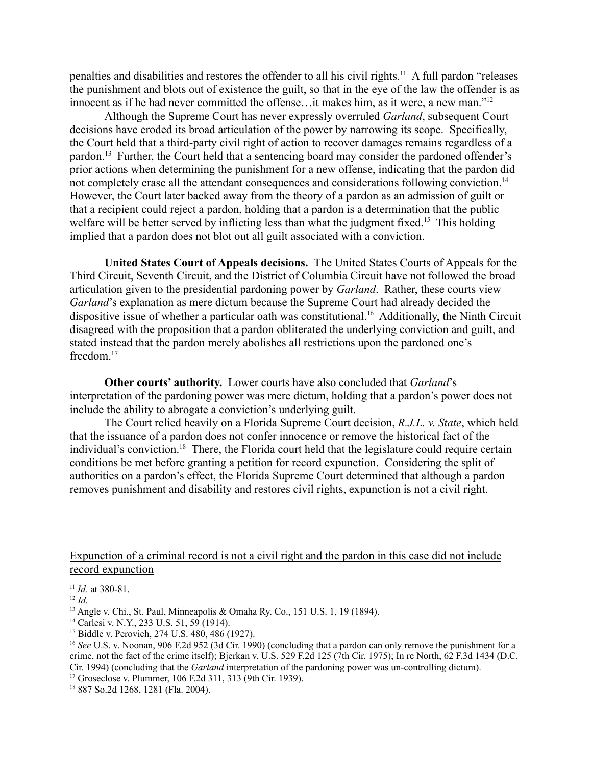penalties and disabilities and restores the offender to all his civil rights.11 A full pardon "releases the punishment and blots out of existence the guilt, so that in the eye of the law the offender is as innocent as if he had never committed the offense…it makes him, as it were, a new man."12

Although the Supreme Court has never expressly overruled *Garland*, subsequent Court decisions have eroded its broad articulation of the power by narrowing its scope. Specifically, the Court held that a third-party civil right of action to recover damages remains regardless of a pardon.<sup>13</sup> Further, the Court held that a sentencing board may consider the pardoned offender's prior actions when determining the punishment for a new offense, indicating that the pardon did not completely erase all the attendant consequences and considerations following conviction.<sup>14</sup> However, the Court later backed away from the theory of a pardon as an admission of guilt or that a recipient could reject a pardon, holding that a pardon is a determination that the public welfare will be better served by inflicting less than what the judgment fixed.<sup>15</sup> This holding implied that a pardon does not blot out all guilt associated with a conviction.

**United States Court of Appeals decisions.** The United States Courts of Appeals for the Third Circuit, Seventh Circuit, and the District of Columbia Circuit have not followed the broad articulation given to the presidential pardoning power by *Garland*. Rather, these courts view *Garland*'s explanation as mere dictum because the Supreme Court had already decided the dispositive issue of whether a particular oath was constitutional.<sup>16</sup> Additionally, the Ninth Circuit disagreed with the proposition that a pardon obliterated the underlying conviction and guilt, and stated instead that the pardon merely abolishes all restrictions upon the pardoned one's freedom.<sup>17</sup>

**Other courts' authority.** Lower courts have also concluded that *Garland*'s interpretation of the pardoning power was mere dictum, holding that a pardon's power does not include the ability to abrogate a conviction's underlying guilt.

The Court relied heavily on a Florida Supreme Court decision, *R.J.L. v. State*, which held that the issuance of a pardon does not confer innocence or remove the historical fact of the individual's conviction.<sup>18</sup> There, the Florida court held that the legislature could require certain conditions be met before granting a petition for record expunction. Considering the split of authorities on a pardon's effect, the Florida Supreme Court determined that although a pardon removes punishment and disability and restores civil rights, expunction is not a civil right.

Expunction of a criminal record is not a civil right and the pardon in this case did not include record expunction

<sup>11</sup> *Id.* at 380-81.

<sup>12</sup> *Id.*

<sup>13</sup> Angle v. Chi., St. Paul, Minneapolis & Omaha Ry. Co., 151 U.S. 1, 19 (1894).

<sup>14</sup> Carlesi v. N.Y., 233 U.S. 51, 59 (1914).

<sup>&</sup>lt;sup>15</sup> Biddle v. Perovich, 274 U.S. 480, 486 (1927).

<sup>&</sup>lt;sup>16</sup> See U.S. v. Noonan, 906 F.2d 952 (3d Cir. 1990) (concluding that a pardon can only remove the punishment for a crime, not the fact of the crime itself); Bjerkan v. U.S. 529 F.2d 125 (7th Cir. 1975); In re North, 62 F.3d 1434 (D.C. Cir. 1994) (concluding that the *Garland* interpretation of the pardoning power was un-controlling dictum). 17 Groseclose v. Plummer, 106 F.2d 311, 313 (9th Cir. 1939).

<sup>18 887</sup> So.2d 1268, 1281 (Fla. 2004).